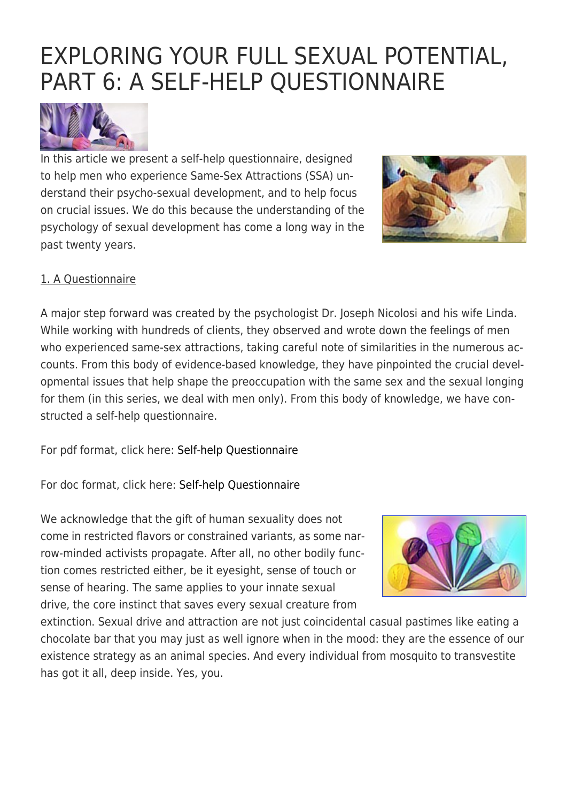# [EXPLORING YOUR FULL SEXUAL POTENTIAL,](https://exgaycalling.com/2018/07/07/exploring-your-full-sexual-potential-part-624-a-self-help-questionnaire/) [PART 6: A SELF-HELP QUESTIONNAIRE](https://exgaycalling.com/2018/07/07/exploring-your-full-sexual-potential-part-624-a-self-help-questionnaire/)



In this article we present a self-help questionnaire, designed to help men who experience Same-Sex Attractions (SSA) understand their psycho-sexual development, and to help focus on crucial issues. We do this because the understanding of the psychology of sexual development has come a long way in the past twenty years.



#### 1. A Questionnaire

A major step forward was created by the psychologist Dr. Joseph Nicolosi and his wife Linda. While working with hundreds of clients, they observed and wrote down the feelings of men who experienced same-sex attractions, taking careful note of similarities in the numerous accounts. From this body of evidence-based knowledge, they have pinpointed the crucial developmental issues that help shape the preoccupation with the same sex and the sexual longing for them (in this series, we deal with men only). From this body of knowledge, we have constructed a self-help questionnaire.

For pdf format, click here: [Self-help Questionnaire](https://exgaycalling.com/wp-content/uploads/2016/12/Self-help-Questionnaire.pdf)

For doc format, click here: [Self-help Questionnaire](https://exgaycalling.com/wp-content/uploads/2016/12/Self-help-Questionnaire.doc)

We acknowledge that the gift of human sexuality does not come in restricted flavors or constrained variants, as some narrow-minded activists propagate. After all, no other bodily function comes restricted either, be it eyesight, sense of touch or sense of hearing. The same applies to your innate sexual drive, the core instinct that saves every sexual creature from



extinction. Sexual drive and attraction are not just coincidental casual pastimes like eating a chocolate bar that you may just as well ignore when in the mood: they are the essence of our existence strategy as an animal species. And every individual from mosquito to transvestite has got it all, deep inside. Yes, you.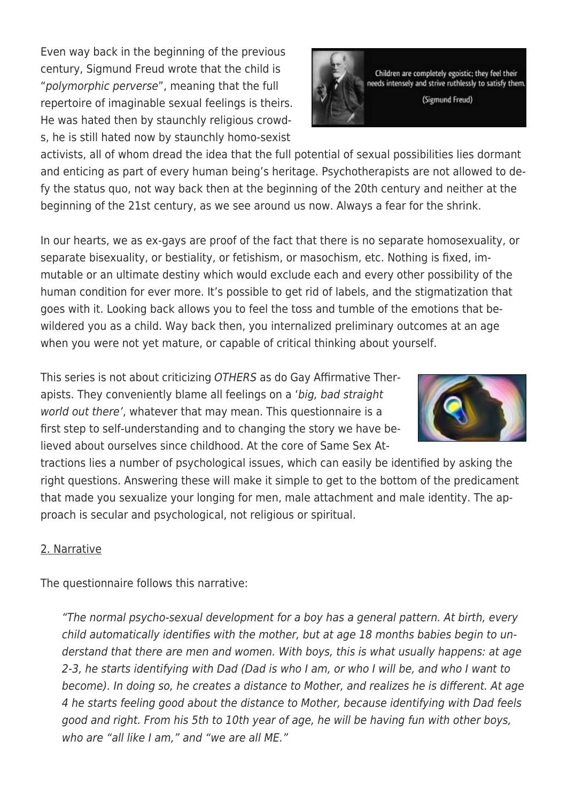Even way back in the beginning of the previous century, Sigmund Freud wrote that the child is "polymorphic perverse", meaning that the full repertoire of imaginable sexual feelings is theirs. He was hated then by staunchly religious crowds, he is still hated now by staunchly homo-sexist

activists, all of whom dread the idea that the full potential of sexual possibilities lies dormant and enticing as part of every human being's heritage. Psychotherapists are not allowed to defy the status quo, not way back then at the beginning of the 20th century and neither at the beginning of the 21st century, as we see around us now. Always a fear for the shrink.

In our hearts, we as ex-gays are proof of the fact that there is no separate homosexuality, or separate bisexuality, or bestiality, or fetishism, or masochism, etc. Nothing is fixed, immutable or an ultimate destiny which would exclude each and every other possibility of the human condition for ever more. It's possible to get rid of labels, and the stigmatization that goes with it. Looking back allows you to feel the toss and tumble of the emotions that bewildered you as a child. Way back then, you internalized preliminary outcomes at an age when you were not yet mature, or capable of critical thinking about yourself.

This series is not about criticizing OTHERS as do Gay Affirmative Therapists. They conveniently blame all feelings on a 'big, bad straight world out there', whatever that may mean. This questionnaire is a first step to self-understanding and to changing the story we have believed about ourselves since childhood. At the core of Same Sex At-

tractions lies a number of psychological issues, which can easily be identified by asking the right questions. Answering these will make it simple to get to the bottom of the predicament that made you sexualize your longing for men, male attachment and male identity. The approach is secular and psychological, not religious or spiritual.

## 2. Narrative

The questionnaire follows this narrative:

"The normal psycho-sexual development for a boy has a general pattern. At birth, every child automatically identifies with the mother, but at age 18 months babies begin to understand that there are men and women. With boys, this is what usually happens: at age 2-3, he starts identifying with Dad (Dad is who I am, or who I will be, and who I want to become). In doing so, he creates a distance to Mother, and realizes he is different. At age 4 he starts feeling good about the distance to Mother, because identifying with Dad feels good and right. From his 5th to 10th year of age, he will be having fun with other boys, who are "all like I am," and "we are all ME."



Children are completely egoistic; they feel their needs intenselv and strive ruthlessly to satisfy them. (Sigmund Freud)

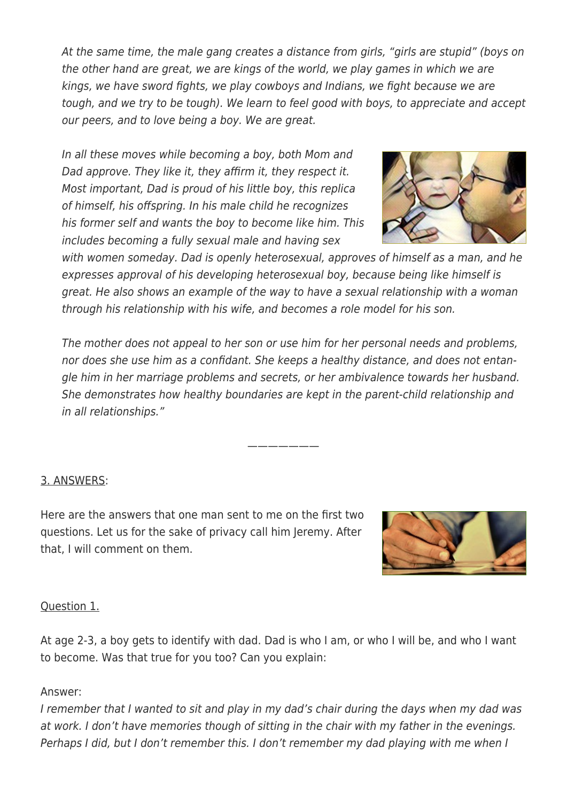At the same time, the male gang creates a distance from girls, "girls are stupid" (boys on the other hand are great, we are kings of the world, we play games in which we are kings, we have sword fights, we play cowboys and Indians, we fight because we are tough, and we try to be tough). We learn to feel good with boys, to appreciate and accept our peers, and to love being a boy. We are great.

In all these moves while becoming a boy, both Mom and Dad approve. They like it, they affirm it, they respect it. Most important, Dad is proud of his little boy, this replica of himself, his offspring. In his male child he recognizes his former self and wants the boy to become like him. This includes becoming a fully sexual male and having sex



with women someday. Dad is openly heterosexual, approves of himself as a man, and he expresses approval of his developing heterosexual boy, because being like himself is great. He also shows an example of the way to have a sexual relationship with a woman through his relationship with his wife, and becomes a role model for his son.

The mother does not appeal to her son or use him for her personal needs and problems, nor does she use him as a confidant. She keeps a healthy distance, and does not entangle him in her marriage problems and secrets, or her ambivalence towards her husband. She demonstrates how healthy boundaries are kept in the parent-child relationship and in all relationships."

———————

## 3. ANSWERS:

Here are the answers that one man sent to me on the first two questions. Let us for the sake of privacy call him Jeremy. After that, I will comment on them.



#### Question 1.

At age 2-3, a boy gets to identify with dad. Dad is who I am, or who I will be, and who I want to become. Was that true for you too? Can you explain:

#### Answer:

I remember that I wanted to sit and play in my dad's chair during the days when my dad was at work. I don't have memories though of sitting in the chair with my father in the evenings. Perhaps I did, but I don't remember this. I don't remember my dad playing with me when I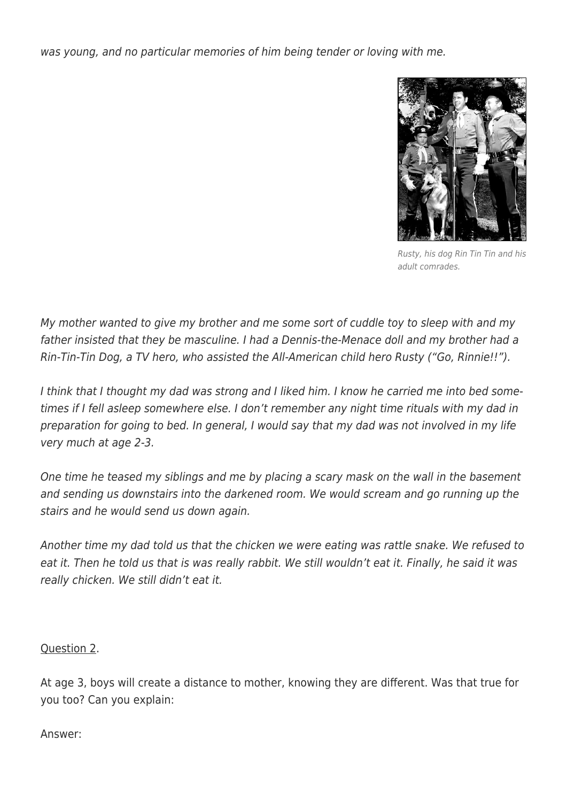was young, and no particular memories of him being tender or loving with me.



Rusty, his dog Rin Tin Tin and his adult comrades.

My mother wanted to give my brother and me some sort of cuddle toy to sleep with and my father insisted that they be masculine. I had a Dennis-the-Menace doll and my brother had a Rin-Tin-Tin Dog, a TV hero, who assisted the All-American child hero Rusty ("Go, Rinnie!!").

I think that I thought my dad was strong and I liked him. I know he carried me into bed sometimes if I fell asleep somewhere else. I don't remember any night time rituals with my dad in preparation for going to bed. In general, I would say that my dad was not involved in my life very much at age 2-3.

One time he teased my siblings and me by placing a scary mask on the wall in the basement and sending us downstairs into the darkened room. We would scream and go running up the stairs and he would send us down again.

Another time my dad told us that the chicken we were eating was rattle snake. We refused to eat it. Then he told us that is was really rabbit. We still wouldn't eat it. Finally, he said it was really chicken. We still didn't eat it.

Question 2.

At age 3, boys will create a distance to mother, knowing they are different. Was that true for you too? Can you explain:

Answer: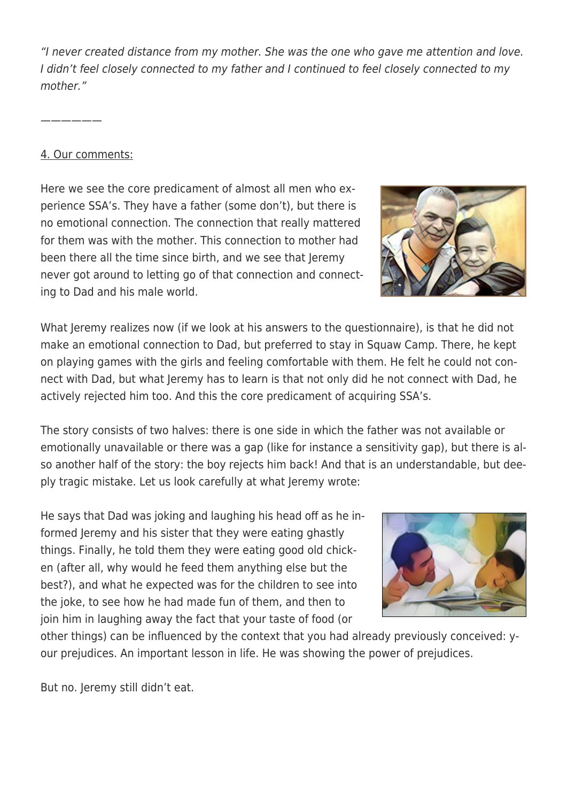"I never created distance from my mother. She was the one who gave me attention and love. I didn't feel closely connected to my father and I continued to feel closely connected to my mother."

——————

#### 4. Our comments:

Here we see the core predicament of almost all men who experience SSA's. They have a father (some don't), but there is no emotional connection. The connection that really mattered for them was with the mother. This connection to mother had been there all the time since birth, and we see that Jeremy never got around to letting go of that connection and connecting to Dad and his male world.

What Jeremy realizes now (if we look at his answers to the questionnaire), is that he did not make an emotional connection to Dad, but preferred to stay in Squaw Camp. There, he kept on playing games with the girls and feeling comfortable with them. He felt he could not connect with Dad, but what Jeremy has to learn is that not only did he not connect with Dad, he actively rejected him too. And this the core predicament of acquiring SSA's.

The story consists of two halves: there is one side in which the father was not available or emotionally unavailable or there was a gap (like for instance a sensitivity gap), but there is also another half of the story: the boy rejects him back! And that is an understandable, but deeply tragic mistake. Let us look carefully at what Jeremy wrote:

He says that Dad was joking and laughing his head off as he informed Jeremy and his sister that they were eating ghastly things. Finally, he told them they were eating good old chicken (after all, why would he feed them anything else but the best?), and what he expected was for the children to see into the joke, to see how he had made fun of them, and then to join him in laughing away the fact that your taste of food (or



other things) can be influenced by the context that you had already previously conceived: your prejudices. An important lesson in life. He was showing the power of prejudices.

But no. Jeremy still didn't eat.

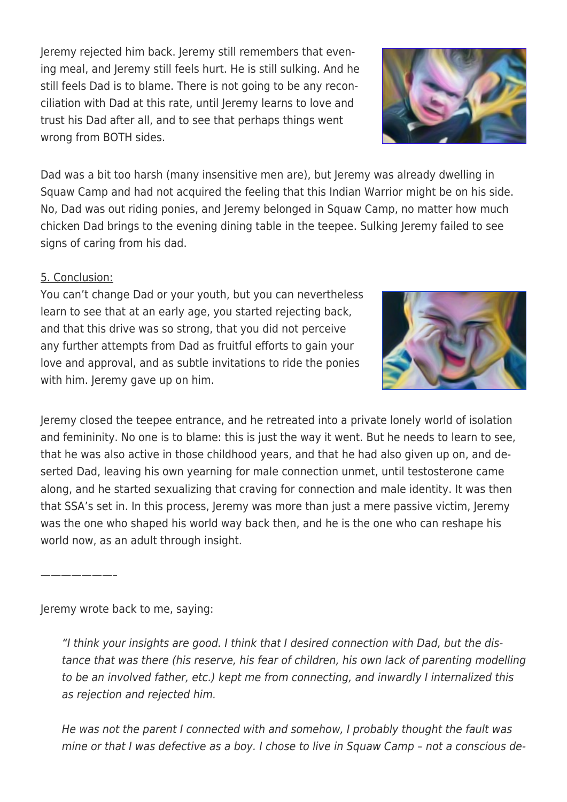Jeremy rejected him back. Jeremy still remembers that evening meal, and Jeremy still feels hurt. He is still sulking. And he still feels Dad is to blame. There is not going to be any reconciliation with Dad at this rate, until Jeremy learns to love and trust his Dad after all, and to see that perhaps things went wrong from BOTH sides.

Dad was a bit too harsh (many insensitive men are), but Jeremy was already dwelling in Squaw Camp and had not acquired the feeling that this Indian Warrior might be on his side. No, Dad was out riding ponies, and Jeremy belonged in Squaw Camp, no matter how much chicken Dad brings to the evening dining table in the teepee. Sulking Jeremy failed to see signs of caring from his dad.

### 5. Conclusion:

You can't change Dad or your youth, but you can nevertheless learn to see that at an early age, you started rejecting back, and that this drive was so strong, that you did not perceive any further attempts from Dad as fruitful efforts to gain your love and approval, and as subtle invitations to ride the ponies with him. Jeremy gave up on him.

Jeremy closed the teepee entrance, and he retreated into a private lonely world of isolation and femininity. No one is to blame: this is just the way it went. But he needs to learn to see, that he was also active in those childhood years, and that he had also given up on, and deserted Dad, leaving his own yearning for male connection unmet, until testosterone came along, and he started sexualizing that craving for connection and male identity. It was then that SSA's set in. In this process, Jeremy was more than just a mere passive victim, Jeremy was the one who shaped his world way back then, and he is the one who can reshape his world now, as an adult through insight.

Jeremy wrote back to me, saying:

"I think your insights are good. I think that I desired connection with Dad, but the distance that was there (his reserve, his fear of children, his own lack of parenting modelling to be an involved father, etc.) kept me from connecting, and inwardly I internalized this as rejection and rejected him.

He was not the parent I connected with and somehow, I probably thought the fault was mine or that I was defective as a boy. I chose to live in Squaw Camp – not a conscious de-





———————–